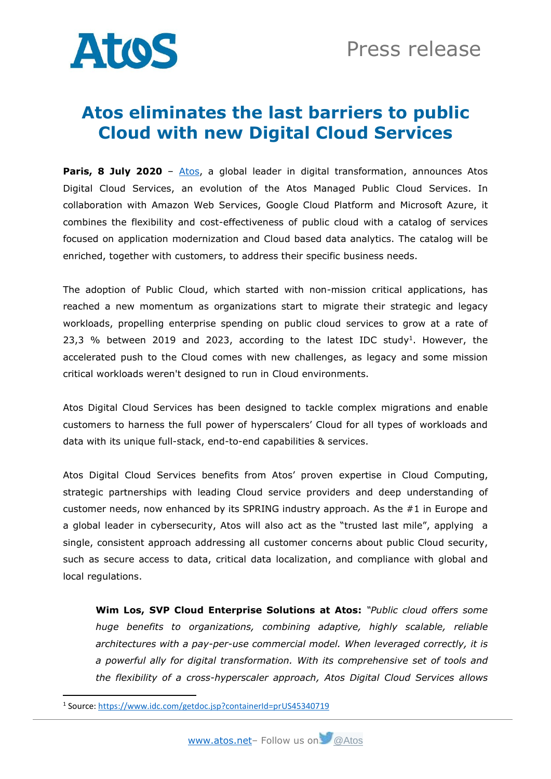

## **Atos eliminates the last barriers to public Cloud with new Digital Cloud Services**

**Paris, 8 July 2020** – [Atos,](https://atos.net/en/) a global leader in digital transformation, announces Atos Digital Cloud Services, an evolution of the Atos Managed Public Cloud Services. In collaboration with Amazon Web Services, Google Cloud Platform and Microsoft Azure, it combines the flexibility and cost-effectiveness of public cloud with a catalog of services focused on application modernization and Cloud based data analytics. The catalog will be enriched, together with customers, to address their specific business needs.

The adoption of Public Cloud, which started with non-mission critical applications, has reached a new momentum as organizations start to migrate their strategic and legacy workloads, propelling enterprise spending on public cloud services to grow at a rate of 23,3 % between 2019 and 2023, according to the latest IDC study<sup>1</sup>. However, the accelerated push to the Cloud comes with new challenges, as legacy and some mission critical workloads weren't designed to run in Cloud environments.

Atos Digital Cloud Services has been designed to tackle complex migrations and enable customers to harness the full power of hyperscalers' Cloud for all types of workloads and data with its unique full-stack, end-to-end capabilities & services.

Atos Digital Cloud Services benefits from Atos' proven expertise in Cloud Computing, strategic partnerships with leading Cloud service providers and deep understanding of customer needs, now enhanced by its SPRING industry approach. As the #1 in Europe and a global leader in cybersecurity, Atos will also act as the "trusted last mile", applying a single, consistent approach addressing all customer concerns about public Cloud security, such as secure access to data, critical data localization, and compliance with global and local regulations.

**Wim Los, SVP Cloud Enterprise Solutions at Atos:** *"Public cloud offers some huge benefits to organizations, combining adaptive, highly scalable, reliable architectures with a pay-per-use commercial model. When leveraged correctly, it is a powerful ally for digital transformation. With its comprehensive set of tools and the flexibility of a cross-hyperscaler approach, Atos Digital Cloud Services allows*

<sup>&</sup>lt;sup>1</sup> Source: <https://www.idc.com/getdoc.jsp?containerId=prUS45340719>